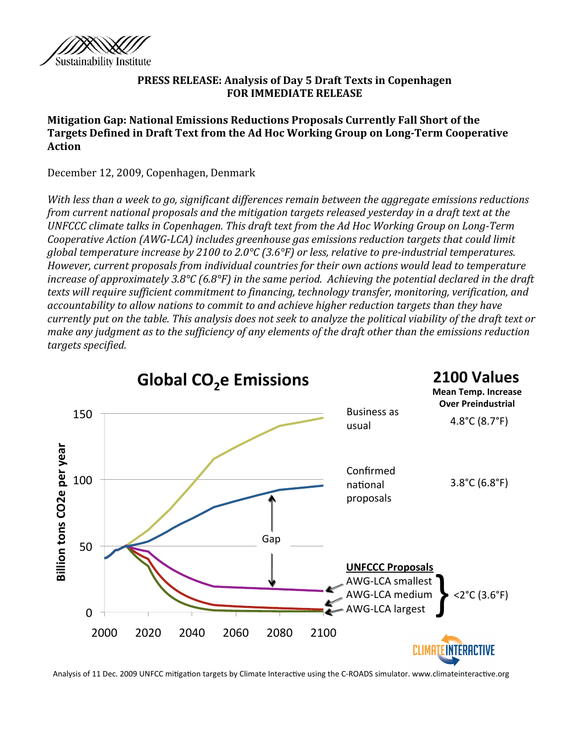

#### **PRESS RELEASE: Analysis of Day 5 Draft Texts in Copenhagen FOR IMMEDIATE RELEASE**

**Mitigation Gap: National Emissions Reductions Proposals Currently Fall Short of the** Targets Defined in Draft Text from the Ad Hoc Working Group on Long-Term Cooperative **Action**

December 12, 2009, Copenhagen, Denmark

*With less than a week to go, significant differences remain between the aggregate emissions reductions from current national proposals and the mitigation targets released yesterday in a draft text at the UNFCCC climate talks in Copenhagen. This draft text from the Ad Hoc Working Group on Long-Term Cooperative Action (AWG-LCA) includes greenhouse gas emissions reduction targets that could limit global temperature increase by 2100 to 2.0°C (3.6°F) or less, relative to preindustrial temperatures. However, current proposals from individual countries for their own actions would lead to temperature increase of approximately 3.8°C (6.8°F) in the same period. Achieving the potential declared in the draft texts will require sufficient commitment to financing, technology transfer, monitoring, verification, and accountability to allow nations to commit to and achieve higher reduction targets than they have currently put on the table. This analysis does not seek to analyze the political viability of the draft text or make any judgment as to the sufficiency of any elements of the draft other than the emissions reduction targets specified.*



Analysis of 11 Dec. 2009 UNFCC mitigation targets by Climate Interactive using the C-ROADS simulator. www.climateinteractive.org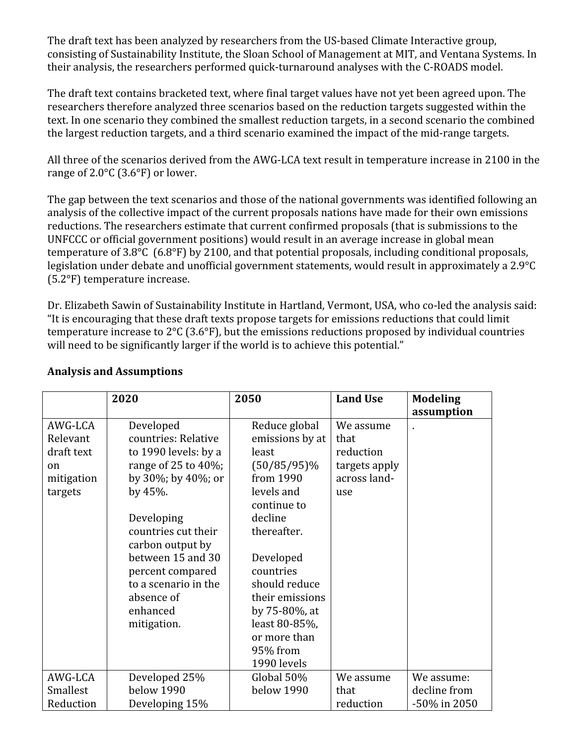The draft text has been analyzed by researchers from the US-based Climate Interactive group, consisting of Sustainability Institute, the Sloan School of Management at MIT, and Ventana Systems. In their analysis, the researchers performed quick‐turnaround analyses with the C‐ROADS model.

The draft text contains bracketed text, where final target values have not yet been agreed upon. The researchers therefore analyzed three scenarios based on the reduction targets suggested within the text. In one scenario they combined the smallest reduction targets, in a second scenario the combined the largest reduction targets, and a third scenario examined the impact of the mid‐range targets.

All three of the scenarios derived from the AWG‐LCA text result in temperature increase in 2100 in the range of 2.0°C (3.6°F) or lower.

The gap between the text scenarios and those of the national governments was identified following an analysis of the collective impact of the current proposals nations have made for their own emissions reductions. The researchers estimate that current confirmed proposals (that is submissions to the UNFCCC or official government positions) would result in an average increase in global mean temperature of 3.8°C (6.8°F) by 2100, and that potential proposals, including conditional proposals, legislation under debate and unofficial government statements, would result in approximately a 2.9°C (5.2°F) temperature increase.

Dr. Elizabeth Sawin of Sustainability Institute in Hartland, Vermont, USA, who co-led the analysis said: "It is encouraging that these draft texts propose targets for emissions reductions that could limit temperature increase to 2°C (3.6°F), but the emissions reductions proposed by individual countries will need to be significantly larger if the world is to achieve this potential."

|               | 2020                 | 2050            | <b>Land Use</b> | <b>Modeling</b> |
|---------------|----------------------|-----------------|-----------------|-----------------|
|               |                      |                 |                 | assumption      |
| AWG-LCA       | Developed            | Reduce global   | We assume       |                 |
| Relevant      | countries: Relative  | emissions by at | that            |                 |
| draft text    | to 1990 levels: by a | least           | reduction       |                 |
| <sub>on</sub> | range of 25 to 40%;  | $(50/85/95)\%$  | targets apply   |                 |
| mitigation    | by 30%; by 40%; or   | from 1990       | across land-    |                 |
| targets       | by $45%$ .           | levels and      | use             |                 |
|               |                      | continue to     |                 |                 |
|               | Developing           | decline         |                 |                 |
|               | countries cut their  | thereafter.     |                 |                 |
|               | carbon output by     |                 |                 |                 |
|               | between 15 and 30    | Developed       |                 |                 |
|               | percent compared     | countries       |                 |                 |
|               | to a scenario in the | should reduce   |                 |                 |
|               | absence of           | their emissions |                 |                 |
|               | enhanced             | by 75-80%, at   |                 |                 |
|               | mitigation.          | least 80-85%,   |                 |                 |
|               |                      | or more than    |                 |                 |
|               |                      | 95% from        |                 |                 |
|               |                      | 1990 levels     |                 |                 |
| AWG-LCA       | Developed 25%        | Global 50%      | We assume       | We assume:      |
| Smallest      | below 1990           | below 1990      | that            | decline from    |
| Reduction     | Developing 15%       |                 | reduction       | -50% in 2050    |

# **Analysis and Assumptions**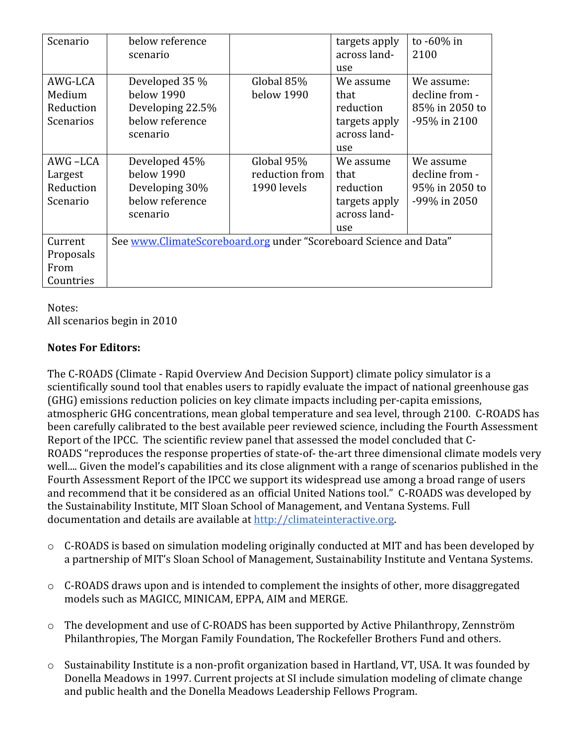| Scenario         | below reference                                                   |                | targets apply | to -60% in     |  |  |
|------------------|-------------------------------------------------------------------|----------------|---------------|----------------|--|--|
|                  | scenario                                                          |                | across land-  | 2100           |  |  |
|                  |                                                                   |                | use           |                |  |  |
| AWG-LCA          | Developed 35 %                                                    | Global 85%     | We assume     | We assume:     |  |  |
| Medium           | below 1990                                                        | below 1990     | that          | decline from - |  |  |
| Reduction        | Developing 22.5%                                                  |                | reduction     | 85% in 2050 to |  |  |
| <b>Scenarios</b> | below reference                                                   |                | targets apply | -95% in 2100   |  |  |
|                  | scenario                                                          |                | across land-  |                |  |  |
|                  |                                                                   |                | use           |                |  |  |
| AWG-LCA          | Developed 45%                                                     | Global 95%     | We assume     | We assume      |  |  |
| Largest          | below 1990                                                        | reduction from | that          | decline from - |  |  |
| Reduction        | Developing 30%                                                    | 1990 levels    | reduction     | 95% in 2050 to |  |  |
| Scenario         | below reference                                                   |                | targets apply | -99% in 2050   |  |  |
|                  | scenario                                                          |                | across land-  |                |  |  |
|                  |                                                                   |                | use           |                |  |  |
| Current          | See www.ClimateScoreboard.org under "Scoreboard Science and Data" |                |               |                |  |  |
| Proposals        |                                                                   |                |               |                |  |  |
| From             |                                                                   |                |               |                |  |  |
| Countries        |                                                                   |                |               |                |  |  |

Notes: All scenarios begin in 2010

## **Notes For Editors:**

The C‐ROADS (Climate ‐ Rapid Overview And Decision Support) climate policy simulator is a scientifically sound tool that enables users to rapidly evaluate the impact of national greenhouse gas (GHG) emissions reduction policies on key climate impacts including per‐capita emissions, atmospheric GHG concentrations, mean global temperature and sea level, through 2100. C‐ROADS has been carefully calibrated to the best available peer reviewed science, including the Fourth Assessment Report of the IPCC. The scientific review panel that assessed the model concluded that C‐ ROADS "reproduces the response properties of state-of- the-art three dimensional climate models very well.... Given the model's capabilities and its close alignment with a range of scenarios published in the Fourth Assessment Report of the IPCC we support its widespread use among a broad range of users and recommend that it be considered as an official United Nations tool." C‐ROADS was developed by the Sustainability Institute, MIT Sloan School of Management, and Ventana Systems. Full documentation and details are available at http://climateinteractive.org.

- $\circ$  C-ROADS is based on simulation modeling originally conducted at MIT and has been developed by a partnership of MIT's Sloan School of Management, Sustainability Institute and Ventana Systems.
- o C‐ROADS draws upon and is intended to complement the insights of other, more disaggregated models such as MAGICC, MINICAM, EPPA, AIM and MERGE.
- o The development and use of C‐ROADS has been supported by Active Philanthropy, Zennström Philanthropies, The Morgan Family Foundation, The Rockefeller Brothers Fund and others.
- o Sustainability Institute is a non‐profit organization based in Hartland, VT, USA. It was founded by Donella Meadows in 1997. Current projects at SI include simulation modeling of climate change and public health and the Donella Meadows Leadership Fellows Program.